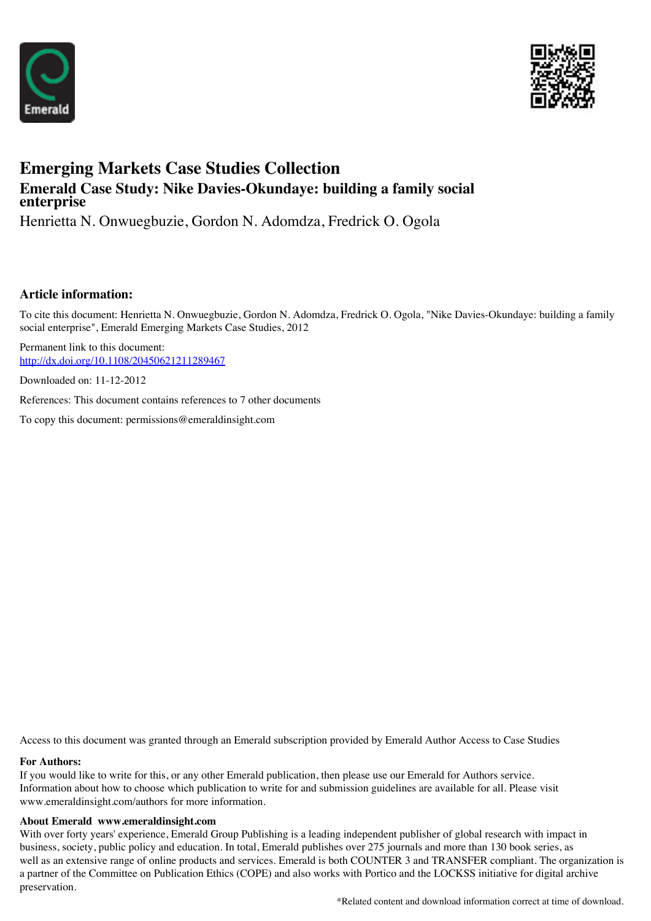



# **Emerging Markets Case Studies Collection Emerald Case Study: Nike Davies-Okundaye: building a family social enterprise**

Henrietta N. Onwuegbuzie, Gordon N. Adomdza, Fredrick O. Ogola

# **Article information:**

To cite this document: Henrietta N. Onwuegbuzie, Gordon N. Adomdza, Fredrick O. Ogola, "Nike Davies-Okundaye: building a family social enterprise", Emerald Emerging Markets Case Studies, 2012

Permanent link to this document: http://dx.doi.org/10.1108/20450621211289467

Downloaded on: 11-12-2012

References: This document contains references to 7 other documents

To copy this document: permissions@emeraldinsight.com

Access to this document was granted through an Emerald subscription provided by Emerald Author Access to Case Studies

# **For Authors:**

If you would like to write for this, or any other Emerald publication, then please use our Emerald for Authors service. Information about how to choose which publication to write for and submission guidelines are available for all. Please visit www.emeraldinsight.com/authors for more information.

# **About Emerald www.emeraldinsight.com**

With over forty years' experience, Emerald Group Publishing is a leading independent publisher of global research with impact in business, society, public policy and education. In total, Emerald publishes over 275 journals and more than 130 book series, as well as an extensive range of online products and services. Emerald is both COUNTER 3 and TRANSFER compliant. The organization is a partner of the Committee on Publication Ethics (COPE) and also works with Portico and the LOCKSS initiative for digital archive preservation.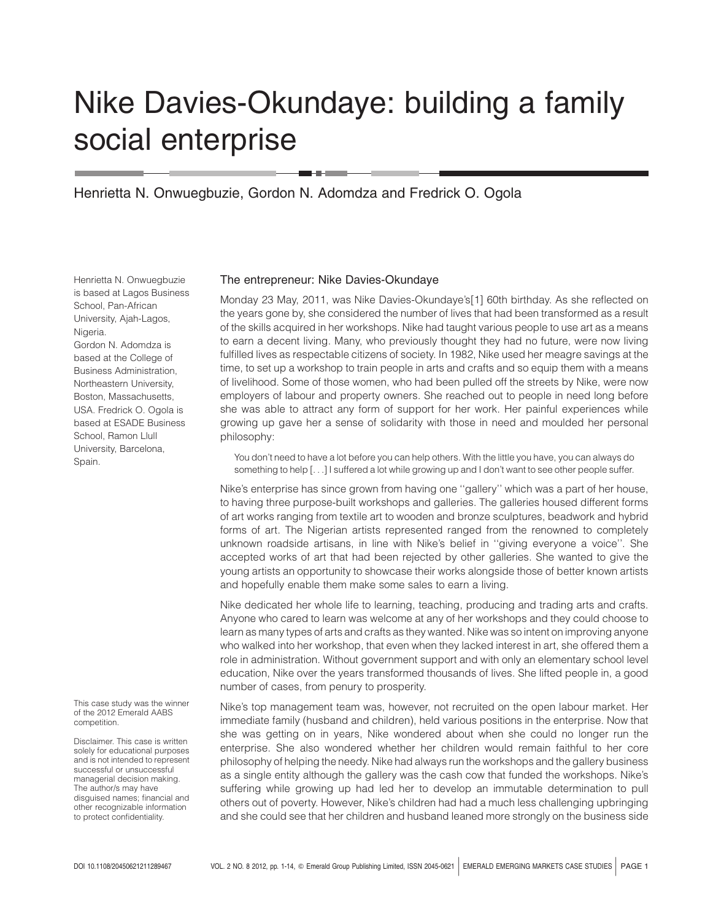# Nike Davies-Okundaye: building a family social enterprise

# Henrietta N. Onwuegbuzie, Gordon N. Adomdza and Fredrick O. Ogola

Henrietta N. Onwuegbuzie is based at Lagos Business School, Pan-African University, Ajah-Lagos, Nigeria. Gordon N. Adomdza is based at the College of Business Administration, Northeastern University, Boston, Massachusetts, USA. Fredrick O. Ogola is based at ESADE Business School, Ramon Llull University, Barcelona, Spain.

This case study was the winner of the 2012 Emerald AABS competition.

Disclaimer. This case is written solely for educational purposes and is not intended to represent successful or unsuccessful managerial decision making. The author/s may have disguised names; financial and other recognizable information to protect confidentiality.

#### The entrepreneur: Nike Davies-Okundaye

Monday 23 May, 2011, was Nike Davies-Okundaye's[1] 60th birthday. As she reflected on the years gone by, she considered the number of lives that had been transformed as a result of the skills acquired in her workshops. Nike had taught various people to use art as a means to earn a decent living. Many, who previously thought they had no future, were now living fulfilled lives as respectable citizens of society. In 1982, Nike used her meagre savings at the time, to set up a workshop to train people in arts and crafts and so equip them with a means of livelihood. Some of those women, who had been pulled off the streets by Nike, were now employers of labour and property owners. She reached out to people in need long before she was able to attract any form of support for her work. Her painful experiences while growing up gave her a sense of solidarity with those in need and moulded her personal philosophy:

You don't need to have a lot before you can help others. With the little you have, you can always do something to help [. . .] I suffered a lot while growing up and I don't want to see other people suffer.

Nike's enterprise has since grown from having one ''gallery'' which was a part of her house, to having three purpose-built workshops and galleries. The galleries housed different forms of art works ranging from textile art to wooden and bronze sculptures, beadwork and hybrid forms of art. The Nigerian artists represented ranged from the renowned to completely unknown roadside artisans, in line with Nike's belief in ''giving everyone a voice''. She accepted works of art that had been rejected by other galleries. She wanted to give the young artists an opportunity to showcase their works alongside those of better known artists and hopefully enable them make some sales to earn a living.

Nike dedicated her whole life to learning, teaching, producing and trading arts and crafts. Anyone who cared to learn was welcome at any of her workshops and they could choose to learn as many types of arts and crafts as they wanted. Nike was so intent on improving anyone who walked into her workshop, that even when they lacked interest in art, she offered them a role in administration. Without government support and with only an elementary school level education, Nike over the years transformed thousands of lives. She lifted people in, a good number of cases, from penury to prosperity.

Nike's top management team was, however, not recruited on the open labour market. Her immediate family (husband and children), held various positions in the enterprise. Now that she was getting on in years, Nike wondered about when she could no longer run the enterprise. She also wondered whether her children would remain faithful to her core philosophy of helping the needy. Nike had always run the workshops and the gallery business as a single entity although the gallery was the cash cow that funded the workshops. Nike's suffering while growing up had led her to develop an immutable determination to pull others out of poverty. However, Nike's children had had a much less challenging upbringing and she could see that her children and husband leaned more strongly on the business side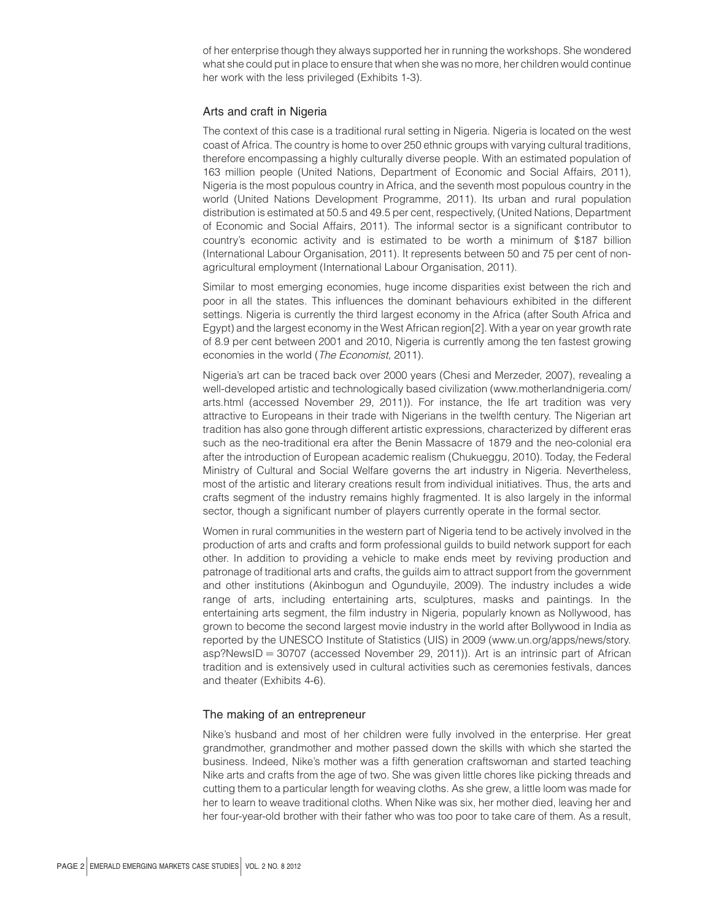of her enterprise though they always supported her in running the workshops. She wondered what she could put in place to ensure that when she was no more, her children would continue her work with the less privileged (Exhibits 1-3).

### Arts and craft in Nigeria

The context of this case is a traditional rural setting in Nigeria. Nigeria is located on the west coast of Africa. The country is home to over 250 ethnic groups with varying cultural traditions, therefore encompassing a highly culturally diverse people. With an estimated population of 163 million people (United Nations, Department of Economic and Social Affairs, 2011), Nigeria is the most populous country in Africa, and the seventh most populous country in the world (United Nations Development Programme, 2011). Its urban and rural population distribution is estimated at 50.5 and 49.5 per cent, respectively, (United Nations, Department of Economic and Social Affairs, 2011). The informal sector is a significant contributor to country's economic activity and is estimated to be worth a minimum of \$187 billion (International Labour Organisation, 2011). It represents between 50 and 75 per cent of nonagricultural employment (International Labour Organisation, 2011).

Similar to most emerging economies, huge income disparities exist between the rich and poor in all the states. This influences the dominant behaviours exhibited in the different settings. Nigeria is currently the third largest economy in the Africa (after South Africa and Egypt) and the largest economy in the West African region[2]. With a year on year growth rate of 8.9 per cent between 2001 and 2010, Nigeria is currently among the ten fastest growing economies in the world (The Economist, 2011).

Nigeria's art can be traced back over 2000 years (Chesi and Merzeder, 2007), revealing a well-developed artistic and technologically based civilization (www.motherlandnigeria.com/ arts.html (accessed November 29, 2011)). For instance, the Ife art tradition was very attractive to Europeans in their trade with Nigerians in the twelfth century. The Nigerian art tradition has also gone through different artistic expressions, characterized by different eras such as the neo-traditional era after the Benin Massacre of 1879 and the neo-colonial era after the introduction of European academic realism (Chukueggu, 2010). Today, the Federal Ministry of Cultural and Social Welfare governs the art industry in Nigeria. Nevertheless, most of the artistic and literary creations result from individual initiatives. Thus, the arts and crafts segment of the industry remains highly fragmented. It is also largely in the informal sector, though a significant number of players currently operate in the formal sector.

Women in rural communities in the western part of Nigeria tend to be actively involved in the production of arts and crafts and form professional guilds to build network support for each other. In addition to providing a vehicle to make ends meet by reviving production and patronage of traditional arts and crafts, the guilds aim to attract support from the government and other institutions (Akinbogun and Ogunduyile, 2009). The industry includes a wide range of arts, including entertaining arts, sculptures, masks and paintings. In the entertaining arts segment, the film industry in Nigeria, popularly known as Nollywood, has grown to become the second largest movie industry in the world after Bollywood in India as reported by the UNESCO Institute of Statistics (UIS) in 2009 (www.un.org/apps/news/story.  $asp?NewsID = 30707$  (accessed November 29, 2011)). Art is an intrinsic part of African tradition and is extensively used in cultural activities such as ceremonies festivals, dances and theater (Exhibits 4-6).

#### The making of an entrepreneur

Nike's husband and most of her children were fully involved in the enterprise. Her great grandmother, grandmother and mother passed down the skills with which she started the business. Indeed, Nike's mother was a fifth generation craftswoman and started teaching Nike arts and crafts from the age of two. She was given little chores like picking threads and cutting them to a particular length for weaving cloths. As she grew, a little loom was made for her to learn to weave traditional cloths. When Nike was six, her mother died, leaving her and her four-year-old brother with their father who was too poor to take care of them. As a result,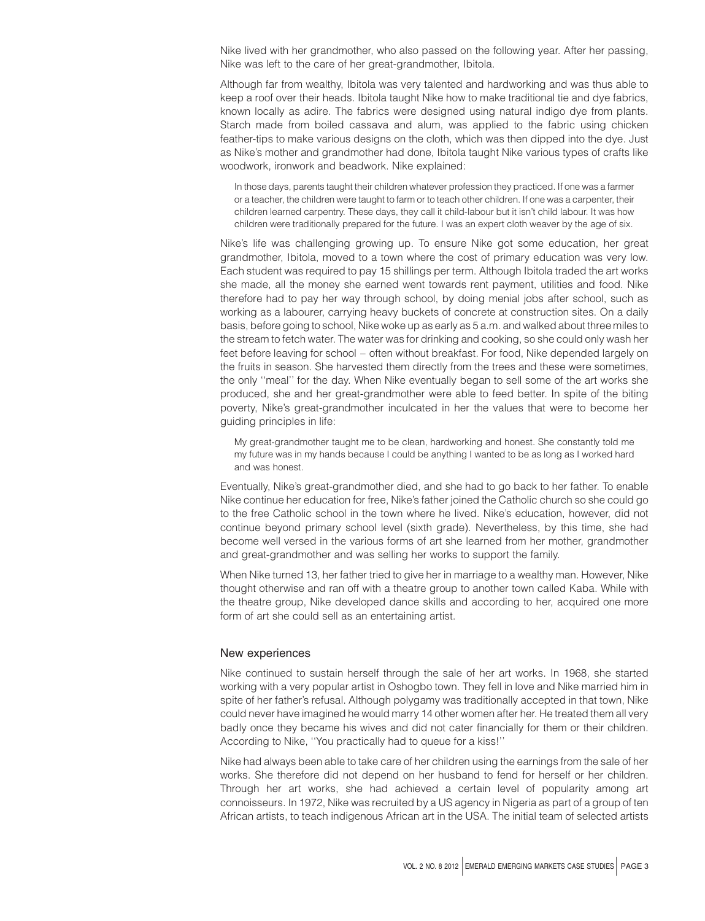Nike lived with her grandmother, who also passed on the following year. After her passing, Nike was left to the care of her great-grandmother, Ibitola.

Although far from wealthy, Ibitola was very talented and hardworking and was thus able to keep a roof over their heads. Ibitola taught Nike how to make traditional tie and dye fabrics, known locally as adire. The fabrics were designed using natural indigo dye from plants. Starch made from boiled cassava and alum, was applied to the fabric using chicken feather-tips to make various designs on the cloth, which was then dipped into the dye. Just as Nike's mother and grandmother had done, Ibitola taught Nike various types of crafts like woodwork, ironwork and beadwork. Nike explained:

In those days, parents taught their children whatever profession they practiced. If one was a farmer or a teacher, the children were taught to farm or to teach other children. If one was a carpenter, their children learned carpentry. These days, they call it child-labour but it isn't child labour. It was how children were traditionally prepared for the future. I was an expert cloth weaver by the age of six.

Nike's life was challenging growing up. To ensure Nike got some education, her great grandmother, Ibitola, moved to a town where the cost of primary education was very low. Each student was required to pay 15 shillings per term. Although Ibitola traded the art works she made, all the money she earned went towards rent payment, utilities and food. Nike therefore had to pay her way through school, by doing menial jobs after school, such as working as a labourer, carrying heavy buckets of concrete at construction sites. On a daily basis, before going to school, Nike woke up as early as 5 a.m. and walked about three miles to the stream to fetch water. The water was for drinking and cooking, so she could only wash her feet before leaving for school – often without breakfast. For food, Nike depended largely on the fruits in season. She harvested them directly from the trees and these were sometimes, the only ''meal'' for the day. When Nike eventually began to sell some of the art works she produced, she and her great-grandmother were able to feed better. In spite of the biting poverty, Nike's great-grandmother inculcated in her the values that were to become her guiding principles in life:

My great-grandmother taught me to be clean, hardworking and honest. She constantly told me my future was in my hands because I could be anything I wanted to be as long as I worked hard and was honest.

Eventually, Nike's great-grandmother died, and she had to go back to her father. To enable Nike continue her education for free, Nike's father joined the Catholic church so she could go to the free Catholic school in the town where he lived. Nike's education, however, did not continue beyond primary school level (sixth grade). Nevertheless, by this time, she had become well versed in the various forms of art she learned from her mother, grandmother and great-grandmother and was selling her works to support the family.

When Nike turned 13, her father tried to give her in marriage to a wealthy man. However, Nike thought otherwise and ran off with a theatre group to another town called Kaba. While with the theatre group, Nike developed dance skills and according to her, acquired one more form of art she could sell as an entertaining artist.

#### New experiences

Nike continued to sustain herself through the sale of her art works. In 1968, she started working with a very popular artist in Oshogbo town. They fell in love and Nike married him in spite of her father's refusal. Although polygamy was traditionally accepted in that town, Nike could never have imagined he would marry 14 other women after her. He treated them all very badly once they became his wives and did not cater financially for them or their children. According to Nike, ''You practically had to queue for a kiss!''

Nike had always been able to take care of her children using the earnings from the sale of her works. She therefore did not depend on her husband to fend for herself or her children. Through her art works, she had achieved a certain level of popularity among art connoisseurs. In 1972, Nike was recruited by a US agency in Nigeria as part of a group of ten African artists, to teach indigenous African art in the USA. The initial team of selected artists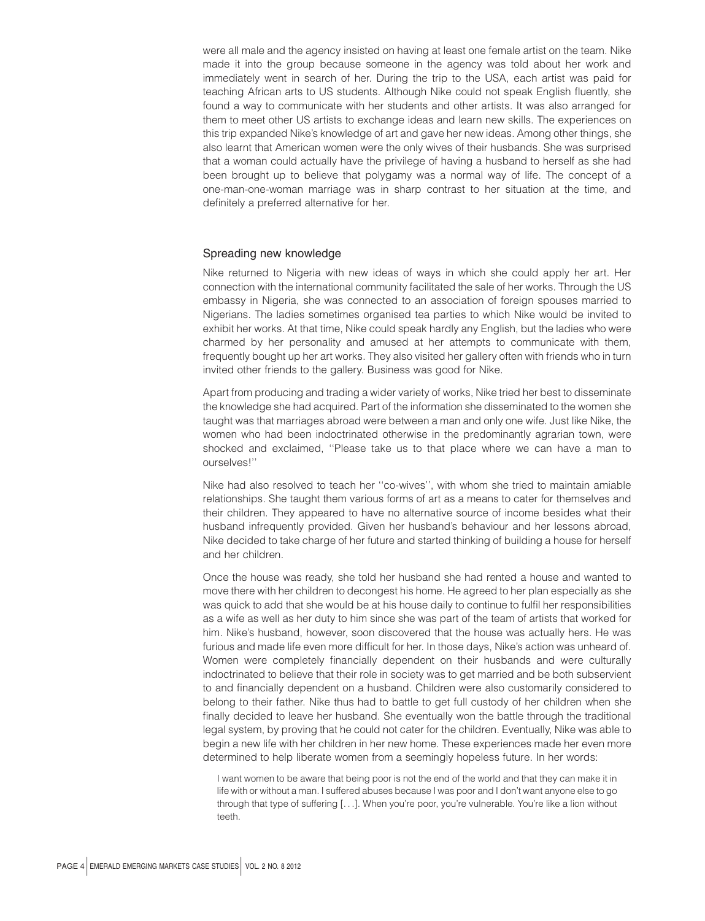were all male and the agency insisted on having at least one female artist on the team. Nike made it into the group because someone in the agency was told about her work and immediately went in search of her. During the trip to the USA, each artist was paid for teaching African arts to US students. Although Nike could not speak English fluently, she found a way to communicate with her students and other artists. It was also arranged for them to meet other US artists to exchange ideas and learn new skills. The experiences on this trip expanded Nike's knowledge of art and gave her new ideas. Among other things, she also learnt that American women were the only wives of their husbands. She was surprised that a woman could actually have the privilege of having a husband to herself as she had been brought up to believe that polygamy was a normal way of life. The concept of a one-man-one-woman marriage was in sharp contrast to her situation at the time, and definitely a preferred alternative for her.

#### Spreading new knowledge

Nike returned to Nigeria with new ideas of ways in which she could apply her art. Her connection with the international community facilitated the sale of her works. Through the US embassy in Nigeria, she was connected to an association of foreign spouses married to Nigerians. The ladies sometimes organised tea parties to which Nike would be invited to exhibit her works. At that time, Nike could speak hardly any English, but the ladies who were charmed by her personality and amused at her attempts to communicate with them, frequently bought up her art works. They also visited her gallery often with friends who in turn invited other friends to the gallery. Business was good for Nike.

Apart from producing and trading a wider variety of works, Nike tried her best to disseminate the knowledge she had acquired. Part of the information she disseminated to the women she taught was that marriages abroad were between a man and only one wife. Just like Nike, the women who had been indoctrinated otherwise in the predominantly agrarian town, were shocked and exclaimed, ''Please take us to that place where we can have a man to ourselves!''

Nike had also resolved to teach her ''co-wives'', with whom she tried to maintain amiable relationships. She taught them various forms of art as a means to cater for themselves and their children. They appeared to have no alternative source of income besides what their husband infrequently provided. Given her husband's behaviour and her lessons abroad, Nike decided to take charge of her future and started thinking of building a house for herself and her children.

Once the house was ready, she told her husband she had rented a house and wanted to move there with her children to decongest his home. He agreed to her plan especially as she was quick to add that she would be at his house daily to continue to fulfil her responsibilities as a wife as well as her duty to him since she was part of the team of artists that worked for him. Nike's husband, however, soon discovered that the house was actually hers. He was furious and made life even more difficult for her. In those days, Nike's action was unheard of. Women were completely financially dependent on their husbands and were culturally indoctrinated to believe that their role in society was to get married and be both subservient to and financially dependent on a husband. Children were also customarily considered to belong to their father. Nike thus had to battle to get full custody of her children when she finally decided to leave her husband. She eventually won the battle through the traditional legal system, by proving that he could not cater for the children. Eventually, Nike was able to begin a new life with her children in her new home. These experiences made her even more determined to help liberate women from a seemingly hopeless future. In her words:

I want women to be aware that being poor is not the end of the world and that they can make it in life with or without a man. I suffered abuses because I was poor and I don't want anyone else to go through that type of suffering [. . .]. When you're poor, you're vulnerable. You're like a lion without teeth.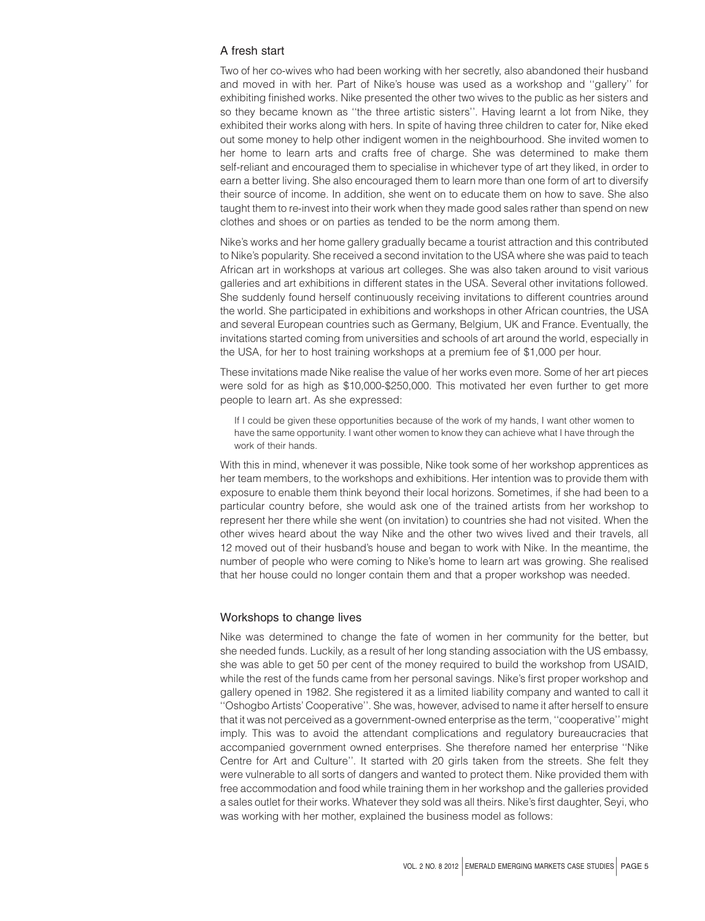# A fresh start

Two of her co-wives who had been working with her secretly, also abandoned their husband and moved in with her. Part of Nike's house was used as a workshop and ''gallery'' for exhibiting finished works. Nike presented the other two wives to the public as her sisters and so they became known as ''the three artistic sisters''. Having learnt a lot from Nike, they exhibited their works along with hers. In spite of having three children to cater for, Nike eked out some money to help other indigent women in the neighbourhood. She invited women to her home to learn arts and crafts free of charge. She was determined to make them self-reliant and encouraged them to specialise in whichever type of art they liked, in order to earn a better living. She also encouraged them to learn more than one form of art to diversify their source of income. In addition, she went on to educate them on how to save. She also taught them to re-invest into their work when they made good sales rather than spend on new clothes and shoes or on parties as tended to be the norm among them.

Nike's works and her home gallery gradually became a tourist attraction and this contributed to Nike's popularity. She received a second invitation to the USA where she was paid to teach African art in workshops at various art colleges. She was also taken around to visit various galleries and art exhibitions in different states in the USA. Several other invitations followed. She suddenly found herself continuously receiving invitations to different countries around the world. She participated in exhibitions and workshops in other African countries, the USA and several European countries such as Germany, Belgium, UK and France. Eventually, the invitations started coming from universities and schools of art around the world, especially in the USA, for her to host training workshops at a premium fee of \$1,000 per hour.

These invitations made Nike realise the value of her works even more. Some of her art pieces were sold for as high as \$10,000-\$250,000. This motivated her even further to get more people to learn art. As she expressed:

If I could be given these opportunities because of the work of my hands, I want other women to have the same opportunity. I want other women to know they can achieve what I have through the work of their hands.

With this in mind, whenever it was possible, Nike took some of her workshop apprentices as her team members, to the workshops and exhibitions. Her intention was to provide them with exposure to enable them think beyond their local horizons. Sometimes, if she had been to a particular country before, she would ask one of the trained artists from her workshop to represent her there while she went (on invitation) to countries she had not visited. When the other wives heard about the way Nike and the other two wives lived and their travels, all 12 moved out of their husband's house and began to work with Nike. In the meantime, the number of people who were coming to Nike's home to learn art was growing. She realised that her house could no longer contain them and that a proper workshop was needed.

#### Workshops to change lives

Nike was determined to change the fate of women in her community for the better, but she needed funds. Luckily, as a result of her long standing association with the US embassy, she was able to get 50 per cent of the money required to build the workshop from USAID, while the rest of the funds came from her personal savings. Nike's first proper workshop and gallery opened in 1982. She registered it as a limited liability company and wanted to call it ''Oshogbo Artists' Cooperative''. She was, however, advised to name it after herself to ensure that it was not perceived as a government-owned enterprise as the term, ''cooperative'' might imply. This was to avoid the attendant complications and regulatory bureaucracies that accompanied government owned enterprises. She therefore named her enterprise ''Nike Centre for Art and Culture''. It started with 20 girls taken from the streets. She felt they were vulnerable to all sorts of dangers and wanted to protect them. Nike provided them with free accommodation and food while training them in her workshop and the galleries provided a sales outlet for their works. Whatever they sold was all theirs. Nike's first daughter, Seyi, who was working with her mother, explained the business model as follows: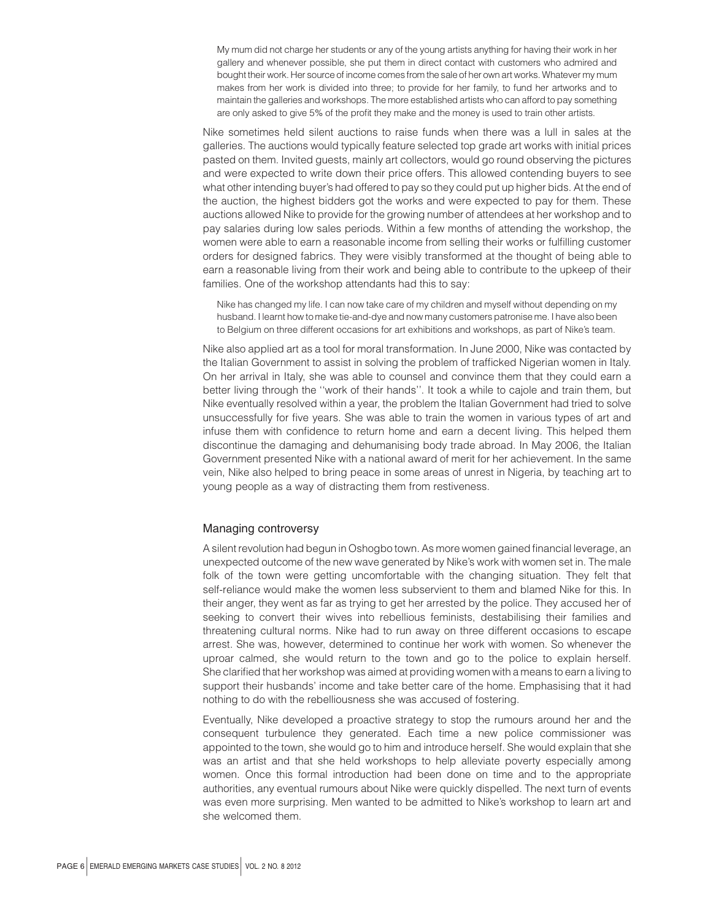My mum did not charge her students or any of the young artists anything for having their work in her gallery and whenever possible, she put them in direct contact with customers who admired and bought their work. Her source of income comes from the sale of her own art works. Whatever my mum makes from her work is divided into three; to provide for her family, to fund her artworks and to maintain the galleries and workshops. The more established artists who can afford to pay something are only asked to give 5% of the profit they make and the money is used to train other artists.

Nike sometimes held silent auctions to raise funds when there was a lull in sales at the galleries. The auctions would typically feature selected top grade art works with initial prices pasted on them. Invited guests, mainly art collectors, would go round observing the pictures and were expected to write down their price offers. This allowed contending buyers to see what other intending buyer's had offered to pay so they could put up higher bids. At the end of the auction, the highest bidders got the works and were expected to pay for them. These auctions allowed Nike to provide for the growing number of attendees at her workshop and to pay salaries during low sales periods. Within a few months of attending the workshop, the women were able to earn a reasonable income from selling their works or fulfilling customer orders for designed fabrics. They were visibly transformed at the thought of being able to earn a reasonable living from their work and being able to contribute to the upkeep of their families. One of the workshop attendants had this to say:

Nike has changed my life. I can now take care of my children and myself without depending on my husband. I learnt how to make tie-and-dye and now many customers patronise me. I have also been to Belgium on three different occasions for art exhibitions and workshops, as part of Nike's team.

Nike also applied art as a tool for moral transformation. In June 2000, Nike was contacted by the Italian Government to assist in solving the problem of trafficked Nigerian women in Italy. On her arrival in Italy, she was able to counsel and convince them that they could earn a better living through the ''work of their hands''. It took a while to cajole and train them, but Nike eventually resolved within a year, the problem the Italian Government had tried to solve unsuccessfully for five years. She was able to train the women in various types of art and infuse them with confidence to return home and earn a decent living. This helped them discontinue the damaging and dehumanising body trade abroad. In May 2006, the Italian Government presented Nike with a national award of merit for her achievement. In the same vein, Nike also helped to bring peace in some areas of unrest in Nigeria, by teaching art to young people as a way of distracting them from restiveness.

#### Managing controversy

A silent revolution had begun in Oshogbo town. As more women gained financial leverage, an unexpected outcome of the new wave generated by Nike's work with women set in. The male folk of the town were getting uncomfortable with the changing situation. They felt that self-reliance would make the women less subservient to them and blamed Nike for this. In their anger, they went as far as trying to get her arrested by the police. They accused her of seeking to convert their wives into rebellious feminists, destabilising their families and threatening cultural norms. Nike had to run away on three different occasions to escape arrest. She was, however, determined to continue her work with women. So whenever the uproar calmed, she would return to the town and go to the police to explain herself. She clarified that her workshop was aimed at providing women with a means to earn a living to support their husbands' income and take better care of the home. Emphasising that it had nothing to do with the rebelliousness she was accused of fostering.

Eventually, Nike developed a proactive strategy to stop the rumours around her and the consequent turbulence they generated. Each time a new police commissioner was appointed to the town, she would go to him and introduce herself. She would explain that she was an artist and that she held workshops to help alleviate poverty especially among women. Once this formal introduction had been done on time and to the appropriate authorities, any eventual rumours about Nike were quickly dispelled. The next turn of events was even more surprising. Men wanted to be admitted to Nike's workshop to learn art and she welcomed them.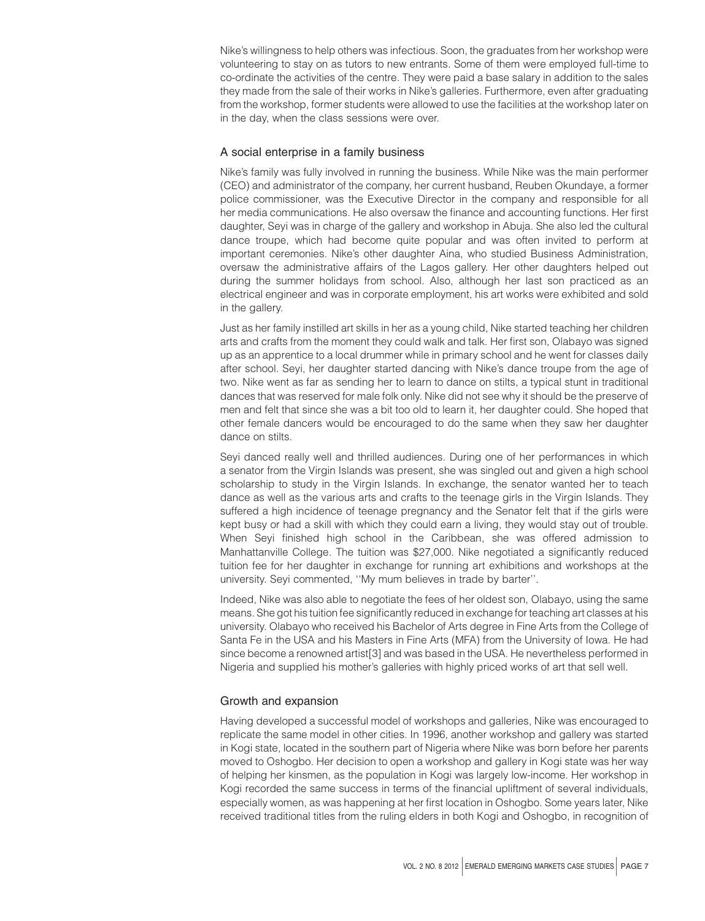Nike's willingness to help others was infectious. Soon, the graduates from her workshop were volunteering to stay on as tutors to new entrants. Some of them were employed full-time to co-ordinate the activities of the centre. They were paid a base salary in addition to the sales they made from the sale of their works in Nike's galleries. Furthermore, even after graduating from the workshop, former students were allowed to use the facilities at the workshop later on in the day, when the class sessions were over.

# A social enterprise in a family business

Nike's family was fully involved in running the business. While Nike was the main performer (CEO) and administrator of the company, her current husband, Reuben Okundaye, a former police commissioner, was the Executive Director in the company and responsible for all her media communications. He also oversaw the finance and accounting functions. Her first daughter, Seyi was in charge of the gallery and workshop in Abuja. She also led the cultural dance troupe, which had become quite popular and was often invited to perform at important ceremonies. Nike's other daughter Aina, who studied Business Administration, oversaw the administrative affairs of the Lagos gallery. Her other daughters helped out during the summer holidays from school. Also, although her last son practiced as an electrical engineer and was in corporate employment, his art works were exhibited and sold in the gallery.

Just as her family instilled art skills in her as a young child, Nike started teaching her children arts and crafts from the moment they could walk and talk. Her first son, Olabayo was signed up as an apprentice to a local drummer while in primary school and he went for classes daily after school. Seyi, her daughter started dancing with Nike's dance troupe from the age of two. Nike went as far as sending her to learn to dance on stilts, a typical stunt in traditional dances that was reserved for male folk only. Nike did not see why it should be the preserve of men and felt that since she was a bit too old to learn it, her daughter could. She hoped that other female dancers would be encouraged to do the same when they saw her daughter dance on stilts.

Seyi danced really well and thrilled audiences. During one of her performances in which a senator from the Virgin Islands was present, she was singled out and given a high school scholarship to study in the Virgin Islands. In exchange, the senator wanted her to teach dance as well as the various arts and crafts to the teenage girls in the Virgin Islands. They suffered a high incidence of teenage pregnancy and the Senator felt that if the girls were kept busy or had a skill with which they could earn a living, they would stay out of trouble. When Seyi finished high school in the Caribbean, she was offered admission to Manhattanville College. The tuition was \$27,000. Nike negotiated a significantly reduced tuition fee for her daughter in exchange for running art exhibitions and workshops at the university. Seyi commented, ''My mum believes in trade by barter''.

Indeed, Nike was also able to negotiate the fees of her oldest son, Olabayo, using the same means. She got his tuition fee significantly reduced in exchange for teaching art classes at his university. Olabayo who received his Bachelor of Arts degree in Fine Arts from the College of Santa Fe in the USA and his Masters in Fine Arts (MFA) from the University of Iowa. He had since become a renowned artist[3] and was based in the USA. He nevertheless performed in Nigeria and supplied his mother's galleries with highly priced works of art that sell well.

# Growth and expansion

Having developed a successful model of workshops and galleries, Nike was encouraged to replicate the same model in other cities. In 1996, another workshop and gallery was started in Kogi state, located in the southern part of Nigeria where Nike was born before her parents moved to Oshogbo. Her decision to open a workshop and gallery in Kogi state was her way of helping her kinsmen, as the population in Kogi was largely low-income. Her workshop in Kogi recorded the same success in terms of the financial upliftment of several individuals, especially women, as was happening at her first location in Oshogbo. Some years later, Nike received traditional titles from the ruling elders in both Kogi and Oshogbo, in recognition of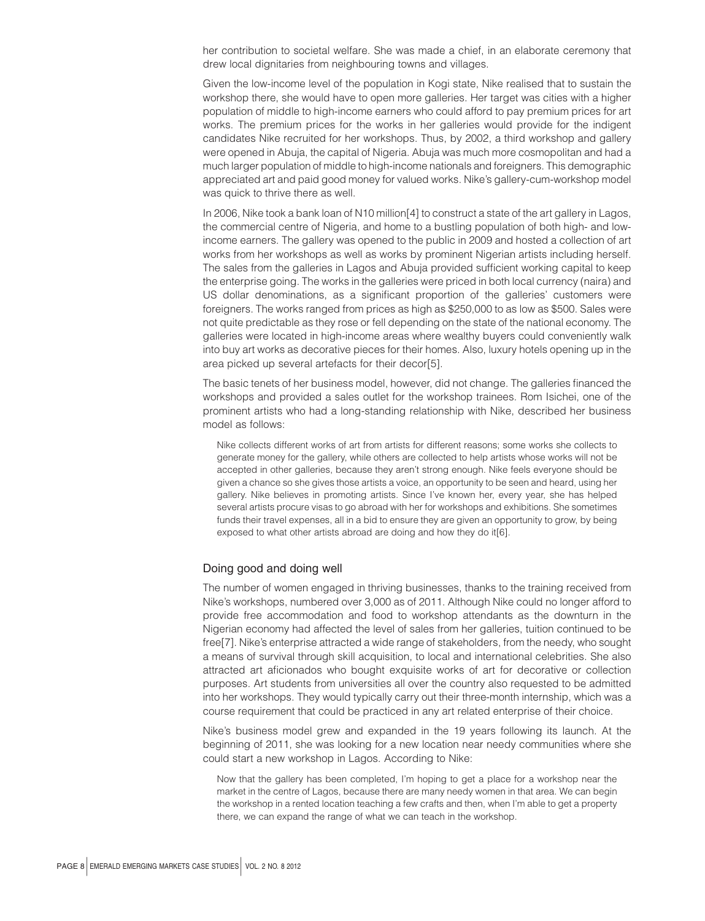her contribution to societal welfare. She was made a chief, in an elaborate ceremony that drew local dignitaries from neighbouring towns and villages.

Given the low-income level of the population in Kogi state, Nike realised that to sustain the workshop there, she would have to open more galleries. Her target was cities with a higher population of middle to high-income earners who could afford to pay premium prices for art works. The premium prices for the works in her galleries would provide for the indigent candidates Nike recruited for her workshops. Thus, by 2002, a third workshop and gallery were opened in Abuja, the capital of Nigeria. Abuja was much more cosmopolitan and had a much larger population of middle to high-income nationals and foreigners. This demographic appreciated art and paid good money for valued works. Nike's gallery-cum-workshop model was quick to thrive there as well.

In 2006, Nike took a bank loan of N10 million[4] to construct a state of the art gallery in Lagos, the commercial centre of Nigeria, and home to a bustling population of both high- and lowincome earners. The gallery was opened to the public in 2009 and hosted a collection of art works from her workshops as well as works by prominent Nigerian artists including herself. The sales from the galleries in Lagos and Abuja provided sufficient working capital to keep the enterprise going. The works in the galleries were priced in both local currency (naira) and US dollar denominations, as a significant proportion of the galleries' customers were foreigners. The works ranged from prices as high as \$250,000 to as low as \$500. Sales were not quite predictable as they rose or fell depending on the state of the national economy. The galleries were located in high-income areas where wealthy buyers could conveniently walk into buy art works as decorative pieces for their homes. Also, luxury hotels opening up in the area picked up several artefacts for their decor[5].

The basic tenets of her business model, however, did not change. The galleries financed the workshops and provided a sales outlet for the workshop trainees. Rom Isichei, one of the prominent artists who had a long-standing relationship with Nike, described her business model as follows:

Nike collects different works of art from artists for different reasons; some works she collects to generate money for the gallery, while others are collected to help artists whose works will not be accepted in other galleries, because they aren't strong enough. Nike feels everyone should be given a chance so she gives those artists a voice, an opportunity to be seen and heard, using her gallery. Nike believes in promoting artists. Since I've known her, every year, she has helped several artists procure visas to go abroad with her for workshops and exhibitions. She sometimes funds their travel expenses, all in a bid to ensure they are given an opportunity to grow, by being exposed to what other artists abroad are doing and how they do it[6].

#### Doing good and doing well

The number of women engaged in thriving businesses, thanks to the training received from Nike's workshops, numbered over 3,000 as of 2011. Although Nike could no longer afford to provide free accommodation and food to workshop attendants as the downturn in the Nigerian economy had affected the level of sales from her galleries, tuition continued to be free[7]. Nike's enterprise attracted a wide range of stakeholders, from the needy, who sought a means of survival through skill acquisition, to local and international celebrities. She also attracted art aficionados who bought exquisite works of art for decorative or collection purposes. Art students from universities all over the country also requested to be admitted into her workshops. They would typically carry out their three-month internship, which was a course requirement that could be practiced in any art related enterprise of their choice.

Nike's business model grew and expanded in the 19 years following its launch. At the beginning of 2011, she was looking for a new location near needy communities where she could start a new workshop in Lagos. According to Nike:

Now that the gallery has been completed, I'm hoping to get a place for a workshop near the market in the centre of Lagos, because there are many needy women in that area. We can begin the workshop in a rented location teaching a few crafts and then, when I'm able to get a property there, we can expand the range of what we can teach in the workshop.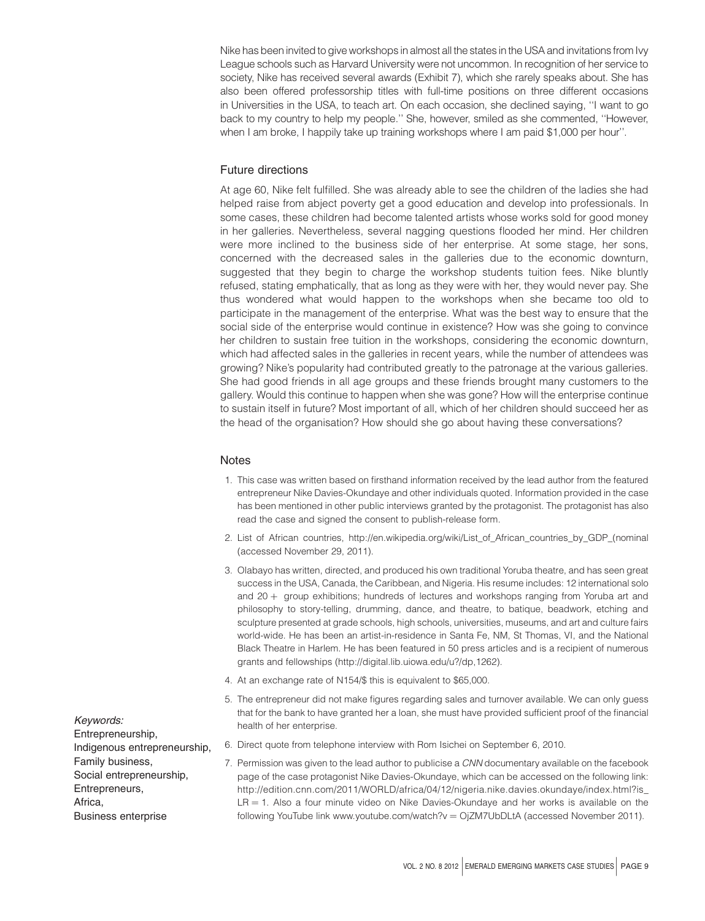Nike has been invited to give workshops in almost all the states in the USA and invitations from Ivy League schools such as Harvard University were not uncommon. In recognition of her service to society, Nike has received several awards (Exhibit 7), which she rarely speaks about. She has also been offered professorship titles with full-time positions on three different occasions in Universities in the USA, to teach art. On each occasion, she declined saying, ''I want to go back to my country to help my people.'' She, however, smiled as she commented, ''However, when I am broke, I happily take up training workshops where I am paid \$1,000 per hour''.

# Future directions

At age 60, Nike felt fulfilled. She was already able to see the children of the ladies she had helped raise from abject poverty get a good education and develop into professionals. In some cases, these children had become talented artists whose works sold for good money in her galleries. Nevertheless, several nagging questions flooded her mind. Her children were more inclined to the business side of her enterprise. At some stage, her sons, concerned with the decreased sales in the galleries due to the economic downturn, suggested that they begin to charge the workshop students tuition fees. Nike bluntly refused, stating emphatically, that as long as they were with her, they would never pay. She thus wondered what would happen to the workshops when she became too old to participate in the management of the enterprise. What was the best way to ensure that the social side of the enterprise would continue in existence? How was she going to convince her children to sustain free tuition in the workshops, considering the economic downturn, which had affected sales in the galleries in recent years, while the number of attendees was growing? Nike's popularity had contributed greatly to the patronage at the various galleries. She had good friends in all age groups and these friends brought many customers to the gallery. Would this continue to happen when she was gone? How will the enterprise continue to sustain itself in future? Most important of all, which of her children should succeed her as the head of the organisation? How should she go about having these conversations?

# **Notes**

- 1. This case was written based on firsthand information received by the lead author from the featured entrepreneur Nike Davies-Okundaye and other individuals quoted. Information provided in the case has been mentioned in other public interviews granted by the protagonist. The protagonist has also read the case and signed the consent to publish-release form.
- 2. List of African countries, http://en.wikipedia.org/wiki/List\_of\_African\_countries\_by\_GDP\_(nominal (accessed November 29, 2011).
- 3. Olabayo has written, directed, and produced his own traditional Yoruba theatre, and has seen great success in the USA, Canada, the Caribbean, and Nigeria. His resume includes: 12 international solo and  $20 +$  group exhibitions; hundreds of lectures and workshops ranging from Yoruba art and philosophy to story-telling, drumming, dance, and theatre, to batique, beadwork, etching and sculpture presented at grade schools, high schools, universities, museums, and art and culture fairs world-wide. He has been an artist-in-residence in Santa Fe, NM, St Thomas, VI, and the National Black Theatre in Harlem. He has been featured in 50 press articles and is a recipient of numerous grants and fellowships (http://digital.lib.uiowa.edu/u?/dp,1262).
- 4. At an exchange rate of N154/\$ this is equivalent to \$65,000.
- 5. The entrepreneur did not make figures regarding sales and turnover available. We can only guess that for the bank to have granted her a loan, she must have provided sufficient proof of the financial health of her enterprise.
- 6. Direct quote from telephone interview with Rom Isichei on September 6, 2010.

7. Permission was given to the lead author to publicise a CNN documentary available on the facebook page of the case protagonist Nike Davies-Okundaye, which can be accessed on the following link: http://edition.cnn.com/2011/WORLD/africa/04/12/nigeria.nike.davies.okundaye/index.html?is\_  $LR = 1$ . Also a four minute video on Nike Davies-Okundaye and her works is available on the following YouTube link www.youtube.com/watch?v =  $OZ$ M7UbDLtA (accessed November 2011).

Keywords: Entrepreneurship, Indigenous entrepreneurship, Family business, Social entrepreneurship, Entrepreneurs, Africa, Business enterprise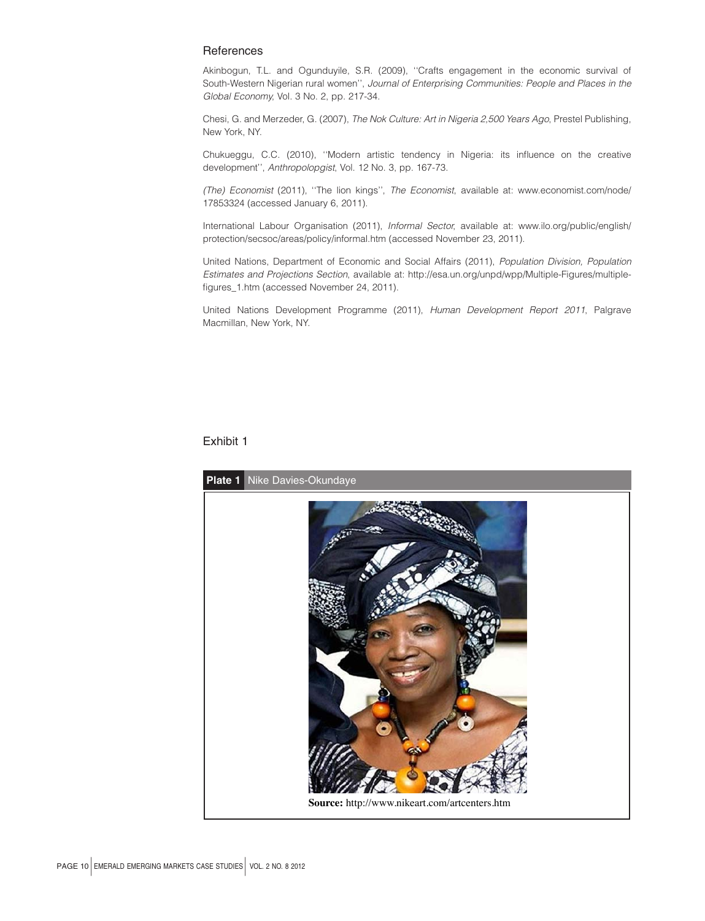# **References**

Akinbogun, T.L. and Ogunduyile, S.R. (2009), ''Crafts engagement in the economic survival of South-Western Nigerian rural women'', Journal of Enterprising Communities: People and Places in the Global Economy, Vol. 3 No. 2, pp. 217-34.

Chesi, G. and Merzeder, G. (2007), The Nok Culture: Art in Nigeria 2,500 Years Ago, Prestel Publishing, New York, NY.

Chukueggu, C.C. (2010), ''Modern artistic tendency in Nigeria: its influence on the creative development'', Anthropolopgist, Vol. 12 No. 3, pp. 167-73.

(The) Economist (2011), ''The lion kings'', The Economist, available at: www.economist.com/node/ 17853324 (accessed January 6, 2011).

International Labour Organisation (2011), Informal Sector, available at: www.ilo.org/public/english/ protection/secsoc/areas/policy/informal.htm (accessed November 23, 2011).

United Nations, Department of Economic and Social Affairs (2011), Population Division, Population Estimates and Projections Section, available at: http://esa.un.org/unpd/wpp/Multiple-Figures/multiplefigures\_1.htm (accessed November 24, 2011).

United Nations Development Programme (2011), Human Development Report 2011, Palgrave Macmillan, New York, NY.

#### Exhibit 1

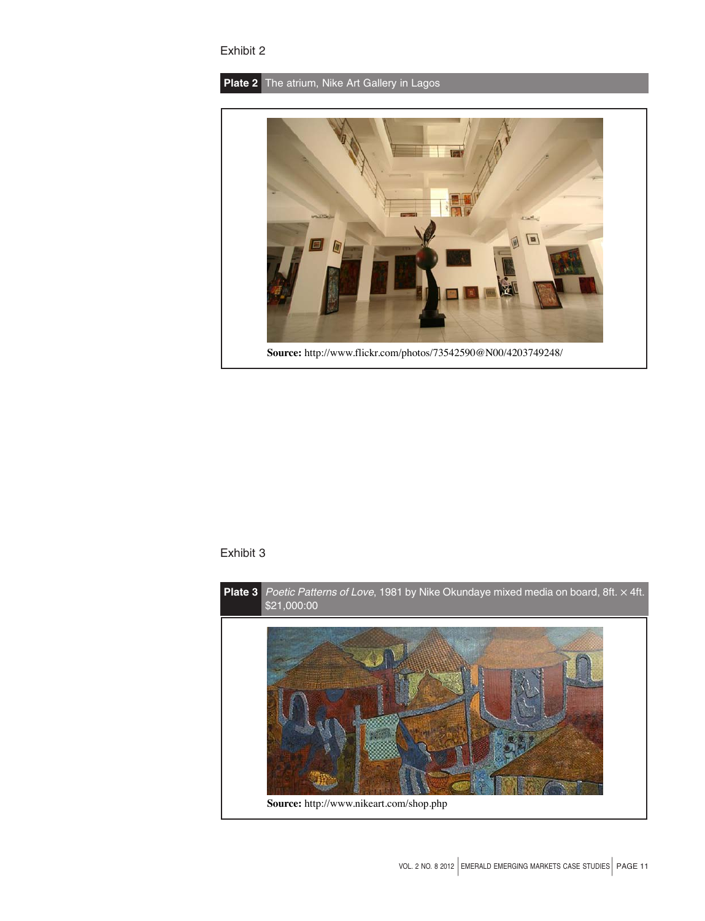# Exhibit 2

# Plate 2 The atrium, Nike Art Gallery in Lagos



# Exhibit 3

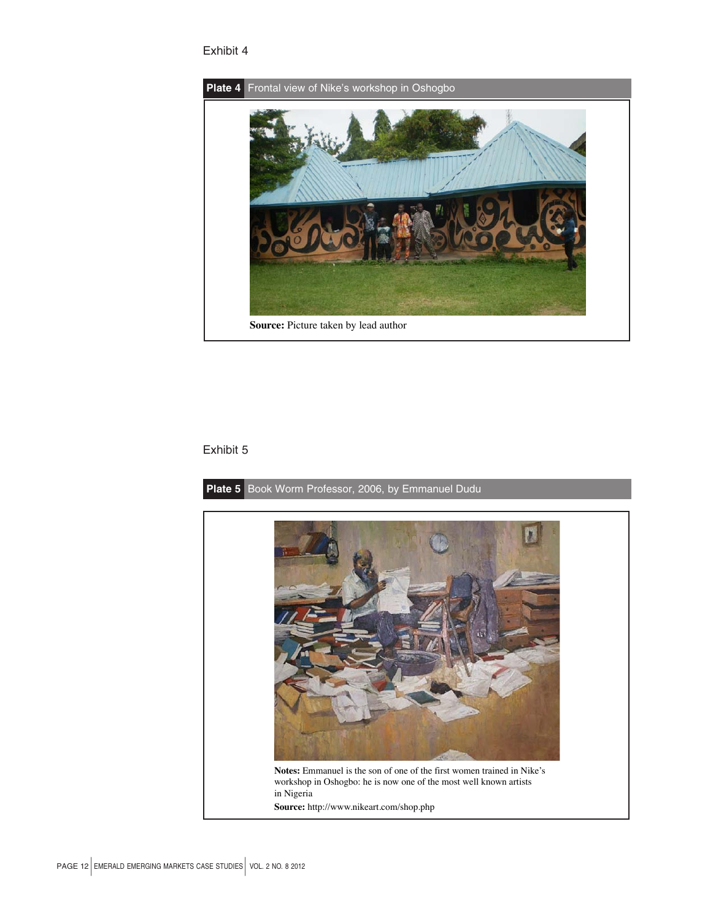# Exhibit 4



# Exhibit 5

Plate 5 Book Worm Professor, 2006, by Emmanuel Dudu



**Source:** http://www.nikeart.com/shop.php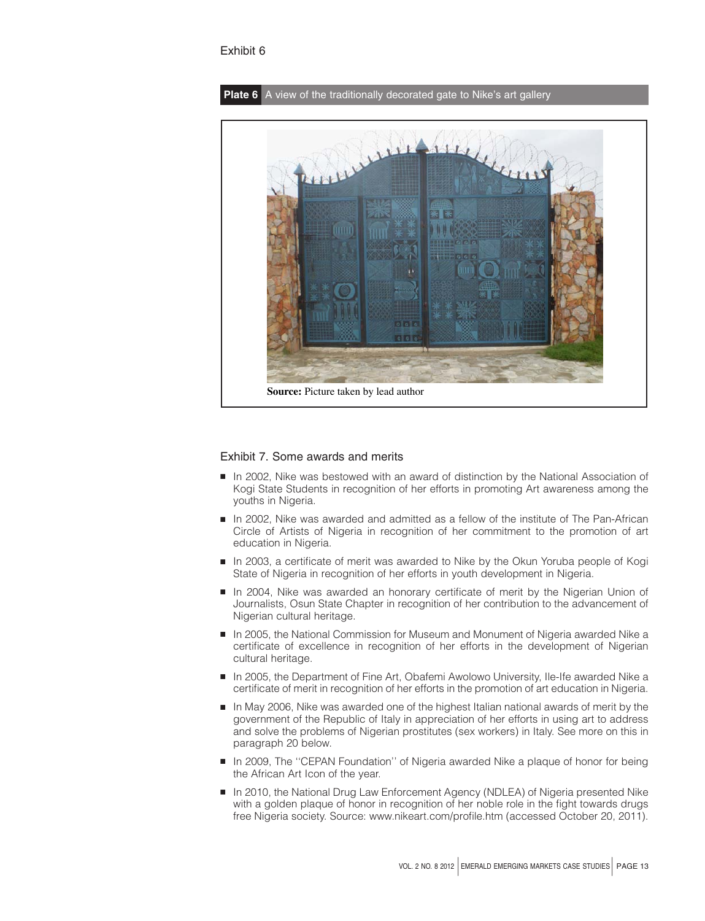# Exhibit 6

**Plate 6** A view of the traditionally decorated gate to Nike's art gallery



#### Exhibit 7. Some awards and merits

- In 2002, Nike was bestowed with an award of distinction by the National Association of Kogi State Students in recognition of her efforts in promoting Art awareness among the youths in Nigeria.
- In 2002, Nike was awarded and admitted as a fellow of the institute of The Pan-African Circle of Artists of Nigeria in recognition of her commitment to the promotion of art education in Nigeria.
- In 2003, a certificate of merit was awarded to Nike by the Okun Yoruba people of Kogi State of Nigeria in recognition of her efforts in youth development in Nigeria.
- In 2004, Nike was awarded an honorary certificate of merit by the Nigerian Union of Journalists, Osun State Chapter in recognition of her contribution to the advancement of Nigerian cultural heritage.
- In 2005, the National Commission for Museum and Monument of Nigeria awarded Nike a certificate of excellence in recognition of her efforts in the development of Nigerian cultural heritage.
- In 2005, the Department of Fine Art, Obafemi Awolowo University, Ile-Ife awarded Nike a certificate of merit in recognition of her efforts in the promotion of art education in Nigeria.
- In May 2006, Nike was awarded one of the highest Italian national awards of merit by the government of the Republic of Italy in appreciation of her efforts in using art to address and solve the problems of Nigerian prostitutes (sex workers) in Italy. See more on this in paragraph 20 below.
- In 2009, The "CEPAN Foundation" of Nigeria awarded Nike a plaque of honor for being the African Art Icon of the year.
- **In 2010, the National Drug Law Enforcement Agency (NDLEA) of Nigeria presented Nike** with a golden plaque of honor in recognition of her noble role in the fight towards drugs free Nigeria society. Source: www.nikeart.com/profile.htm (accessed October 20, 2011).